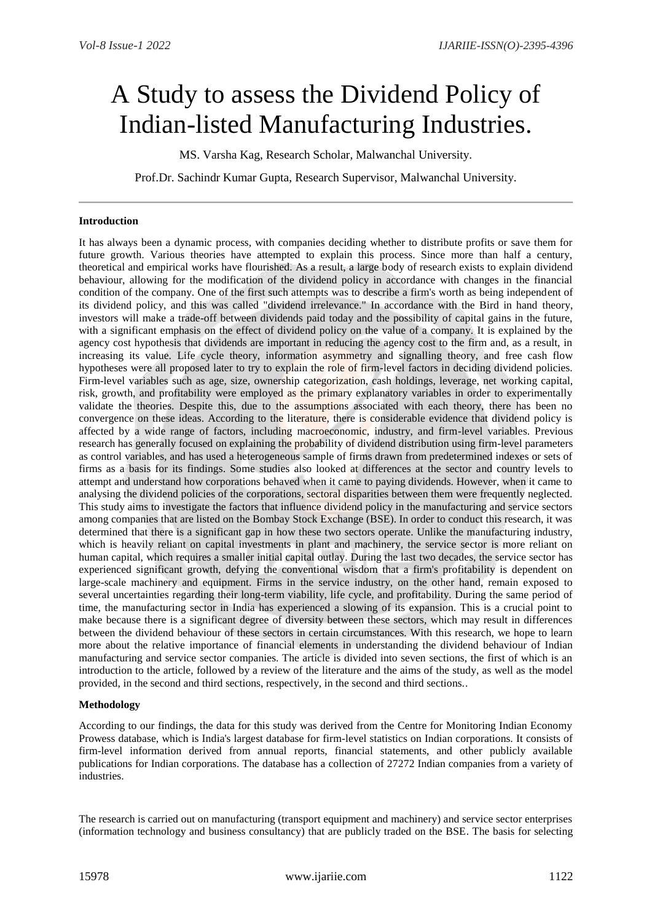# A Study to assess the Dividend Policy of Indian-listed Manufacturing Industries.

MS. Varsha Kag, Research Scholar, Malwanchal University.

Prof.Dr. Sachindr Kumar Gupta, Research Supervisor, Malwanchal University.

### **Introduction**

It has always been a dynamic process, with companies deciding whether to distribute profits or save them for future growth. Various theories have attempted to explain this process. Since more than half a century, theoretical and empirical works have flourished. As a result, a large body of research exists to explain dividend behaviour, allowing for the modification of the dividend policy in accordance with changes in the financial condition of the company. One of the first such attempts was to describe a firm's worth as being independent of its dividend policy, and this was called "dividend irrelevance." In accordance with the Bird in hand theory, investors will make a trade-off between dividends paid today and the possibility of capital gains in the future, with a significant emphasis on the effect of dividend policy on the value of a company. It is explained by the agency cost hypothesis that dividends are important in reducing the agency cost to the firm and, as a result, in increasing its value. Life cycle theory, information asymmetry and signalling theory, and free cash flow hypotheses were all proposed later to try to explain the role of firm-level factors in deciding dividend policies. Firm-level variables such as age, size, ownership categorization, cash holdings, leverage, net working capital, risk, growth, and profitability were employed as the primary explanatory variables in order to experimentally validate the theories. Despite this, due to the assumptions associated with each theory, there has been no convergence on these ideas. According to the literature, there is considerable evidence that dividend policy is affected by a wide range of factors, including macroeconomic, industry, and firm-level variables. Previous research has generally focused on explaining the probability of dividend distribution using firm-level parameters as control variables, and has used a heterogeneous sample of firms drawn from predetermined indexes or sets of firms as a basis for its findings. Some studies also looked at differences at the sector and country levels to attempt and understand how corporations behaved when it came to paying dividends. However, when it came to analysing the dividend policies of the corporations, sectoral disparities between them were frequently neglected. This study aims to investigate the factors that influence dividend policy in the manufacturing and service sectors among companies that are listed on the Bombay Stock Exchange (BSE). In order to conduct this research, it was determined that there is a significant gap in how these two sectors operate. Unlike the manufacturing industry, which is heavily reliant on capital investments in plant and machinery, the service sector is more reliant on human capital, which requires a smaller initial capital outlay. During the last two decades, the service sector has experienced significant growth, defying the conventional wisdom that a firm's profitability is dependent on large-scale machinery and equipment. Firms in the service industry, on the other hand, remain exposed to several uncertainties regarding their long-term viability, life cycle, and profitability. During the same period of time, the manufacturing sector in India has experienced a slowing of its expansion. This is a crucial point to make because there is a significant degree of diversity between these sectors, which may result in differences between the dividend behaviour of these sectors in certain circumstances. With this research, we hope to learn more about the relative importance of financial elements in understanding the dividend behaviour of Indian manufacturing and service sector companies. The article is divided into seven sections, the first of which is an introduction to the article, followed by a review of the literature and the aims of the study, as well as the model provided, in the second and third sections, respectively, in the second and third sections..

#### **Methodology**

According to our findings, the data for this study was derived from the Centre for Monitoring Indian Economy Prowess database, which is India's largest database for firm-level statistics on Indian corporations. It consists of firm-level information derived from annual reports, financial statements, and other publicly available publications for Indian corporations. The database has a collection of 27272 Indian companies from a variety of industries.

The research is carried out on manufacturing (transport equipment and machinery) and service sector enterprises (information technology and business consultancy) that are publicly traded on the BSE. The basis for selecting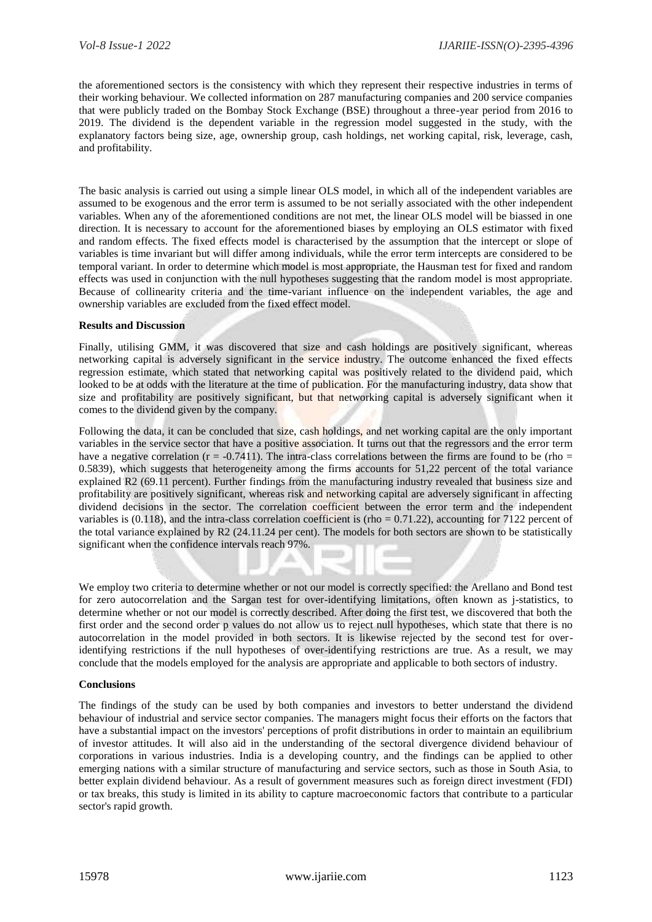the aforementioned sectors is the consistency with which they represent their respective industries in terms of their working behaviour. We collected information on 287 manufacturing companies and 200 service companies that were publicly traded on the Bombay Stock Exchange (BSE) throughout a three-year period from 2016 to 2019. The dividend is the dependent variable in the regression model suggested in the study, with the explanatory factors being size, age, ownership group, cash holdings, net working capital, risk, leverage, cash, and profitability.

The basic analysis is carried out using a simple linear OLS model, in which all of the independent variables are assumed to be exogenous and the error term is assumed to be not serially associated with the other independent variables. When any of the aforementioned conditions are not met, the linear OLS model will be biassed in one direction. It is necessary to account for the aforementioned biases by employing an OLS estimator with fixed and random effects. The fixed effects model is characterised by the assumption that the intercept or slope of variables is time invariant but will differ among individuals, while the error term intercepts are considered to be temporal variant. In order to determine which model is most appropriate, the Hausman test for fixed and random effects was used in conjunction with the null hypotheses suggesting that the random model is most appropriate. Because of collinearity criteria and the time-variant influence on the independent variables, the age and ownership variables are excluded from the fixed effect model.

# **Results and Discussion**

Finally, utilising GMM, it was discovered that size and cash holdings are positively significant, whereas networking capital is adversely significant in the service industry. The outcome enhanced the fixed effects regression estimate, which stated that networking capital was positively related to the dividend paid, which looked to be at odds with the literature at the time of publication. For the manufacturing industry, data show that size and profitability are positively significant, but that networking capital is adversely significant when it comes to the dividend given by the company.

Following the data, it can be concluded that size, cash holdings, and net working capital are the only important variables in the service sector that have a positive association. It turns out that the regressors and the error term have a negative correlation ( $r = -0.7411$ ). The intra-class correlations between the firms are found to be (rho = 0.5839), which suggests that heterogeneity among the firms accounts for 51,22 percent of the total variance explained R2 (69.11 percent). Further findings from the manufacturing industry revealed that business size and profitability are positively significant, whereas risk and networking capital are adversely significant in affecting dividend decisions in the sector. The correlation coefficient between the error term and the independent variables is  $(0.118)$ , and the intra-class correlation coefficient is (rho = 0.71.22), accounting for 7122 percent of the total variance explained by R2 (24.11.24 per cent). The models for both sectors are shown to be statistically significant when the confidence intervals reach 97%.

We employ two criteria to determine whether or not our model is correctly specified: the Arellano and Bond test for zero autocorrelation and the Sargan test for over-identifying limitations, often known as j-statistics, to determine whether or not our model is correctly described. After doing the first test, we discovered that both the first order and the second order p values do not allow us to reject null hypotheses, which state that there is no autocorrelation in the model provided in both sectors. It is likewise rejected by the second test for overidentifying restrictions if the null hypotheses of over-identifying restrictions are true. As a result, we may conclude that the models employed for the analysis are appropriate and applicable to both sectors of industry.

# **Conclusions**

The findings of the study can be used by both companies and investors to better understand the dividend behaviour of industrial and service sector companies. The managers might focus their efforts on the factors that have a substantial impact on the investors' perceptions of profit distributions in order to maintain an equilibrium of investor attitudes. It will also aid in the understanding of the sectoral divergence dividend behaviour of corporations in various industries. India is a developing country, and the findings can be applied to other emerging nations with a similar structure of manufacturing and service sectors, such as those in South Asia, to better explain dividend behaviour. As a result of government measures such as foreign direct investment (FDI) or tax breaks, this study is limited in its ability to capture macroeconomic factors that contribute to a particular sector's rapid growth.